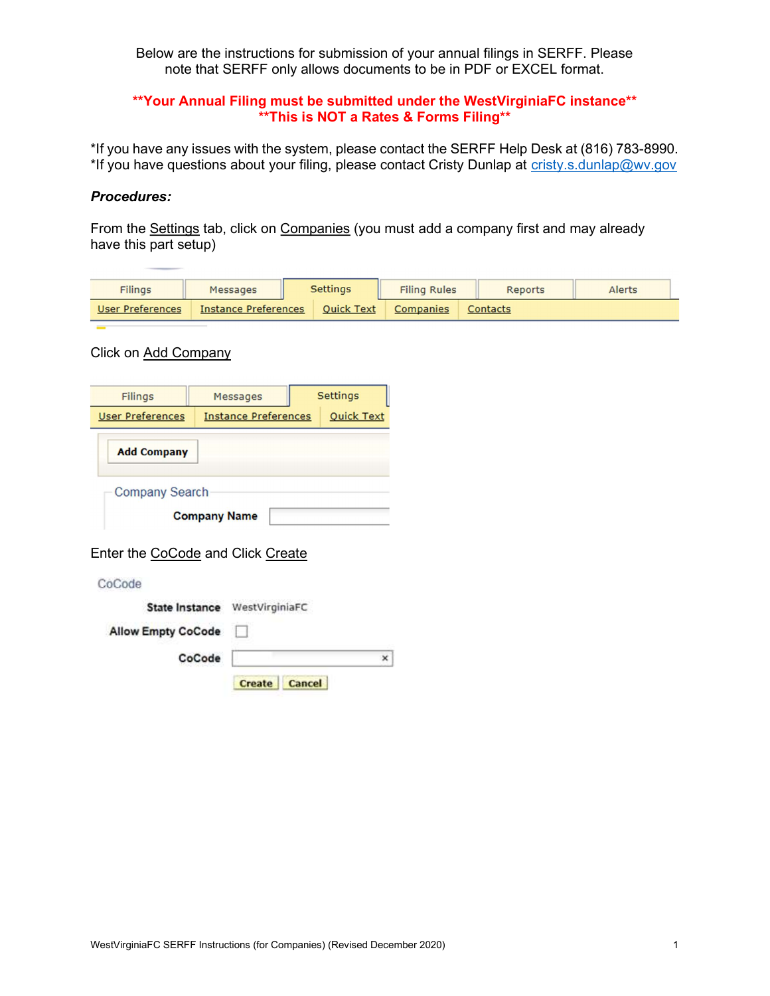Below are the instructions for submission of your annual filings in SERFF. Please note that SERFF only allows documents to be in PDF or EXCEL format.

## \*\*Your Annual Filing must be submitted under the WestVirginiaFC instance\*\* \*\*This is NOT a Rates & Forms Filing\*\*

\*If you have any issues with the system, please contact the SERFF Help Desk at (816) 783-8990. \*If you have questions about your filing, please contact Cristy Dunlap at cristy.s.dunlap@wv.gov

#### Procedures:

From the Settings tab, click on Companies (you must add a company first and may already have this part setup)

| <b>Filings</b>   | Messages                    | <b>Settings</b>   | <b>Filing Rules</b> | Reports  | <b>Alerts</b> |
|------------------|-----------------------------|-------------------|---------------------|----------|---------------|
| User Preferences | <b>Instance Preferences</b> | <b>Ouick Text</b> | <b>Companies</b>    | Contacts |               |

### Click on Add Company

| <b>Filings</b>                              |        | Messages                      |        | <b>Settings</b>   |
|---------------------------------------------|--------|-------------------------------|--------|-------------------|
| <b>User Preferences</b>                     |        | <b>Instance Preferences</b>   |        | <b>Quick Text</b> |
| <b>Add Company</b>                          |        |                               |        |                   |
| <b>Company Search</b>                       |        |                               |        |                   |
|                                             |        | <b>Company Name</b>           |        |                   |
| Enter the CoCode and Click Create<br>CoCode |        |                               |        |                   |
|                                             |        | State Instance WestVirginiaFC |        |                   |
| <b>Allow Empty CoCode</b>                   |        |                               |        |                   |
|                                             | CoCode |                               |        | ×                 |
|                                             |        | <b>Create</b>                 | Cancel |                   |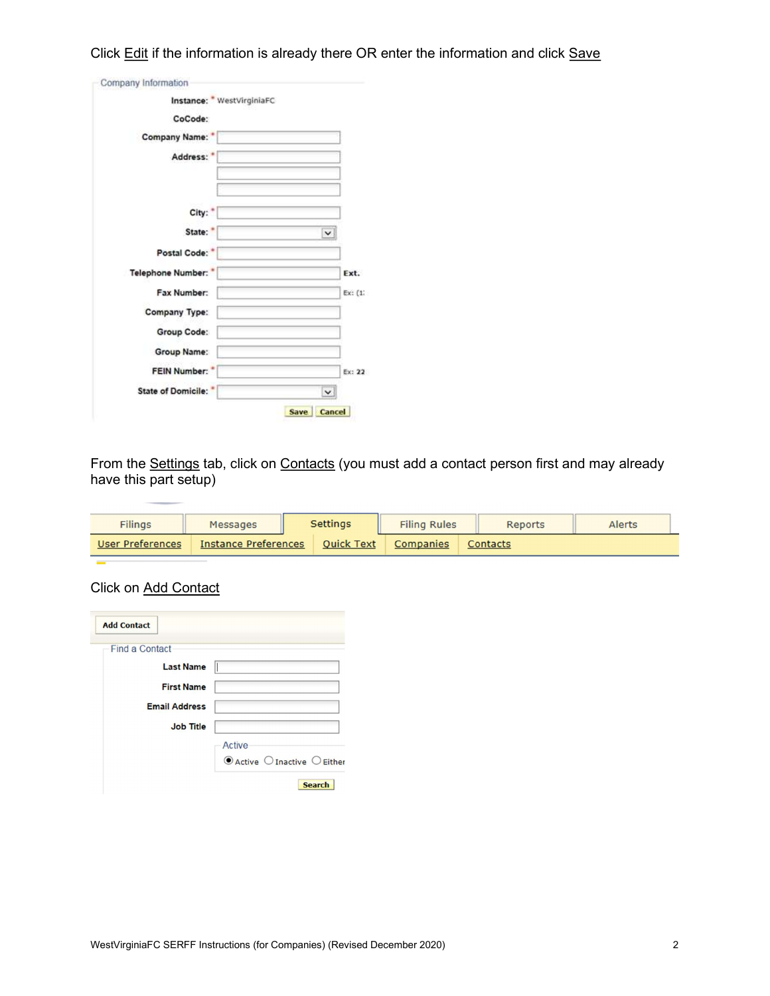Click Edit if the information is already there OR enter the information and click Save

| Instance: WestVirginiaFC |             |
|--------------------------|-------------|
| CoCode:                  |             |
| <b>Company Name:</b>     |             |
| Address:                 |             |
|                          |             |
|                          |             |
| City:"                   |             |
| State:                   |             |
| Postal Code:             |             |
| Telephone Number:        | Ext.        |
| Fax Number:              | Ex: (1)     |
| Company Type:            |             |
| Group Code:              |             |
| Group Name:              |             |
| FEIN Number: *           | Ex: 22      |
| State of Domicile:       | $\check{~}$ |

From the Settings tab, click on Contacts (you must add a contact person first and may already have this part setup)

| <b>Filings</b>          | Messages                    | <b>Settings</b>   | <b>Filing Rules</b> | <b>Reports</b> | Alerts |
|-------------------------|-----------------------------|-------------------|---------------------|----------------|--------|
| <b>User Preferences</b> | <b>Instance Preferences</b> | <b>Quick Text</b> | Companies           | Contacts       |        |
|                         |                             |                   |                     |                |        |

Click on Add Contact

| <b>Add Contact</b>    |                                                      |
|-----------------------|------------------------------------------------------|
| <b>Find a Contact</b> |                                                      |
|                       |                                                      |
| <b>Last Name</b>      |                                                      |
| <b>First Name</b>     |                                                      |
| <b>Email Address</b>  |                                                      |
| <b>Job Title</b>      |                                                      |
|                       | Active                                               |
|                       | $\odot$ Active $\bigcirc$ Inactive $\bigcirc$ Either |
|                       | <b>Search</b>                                        |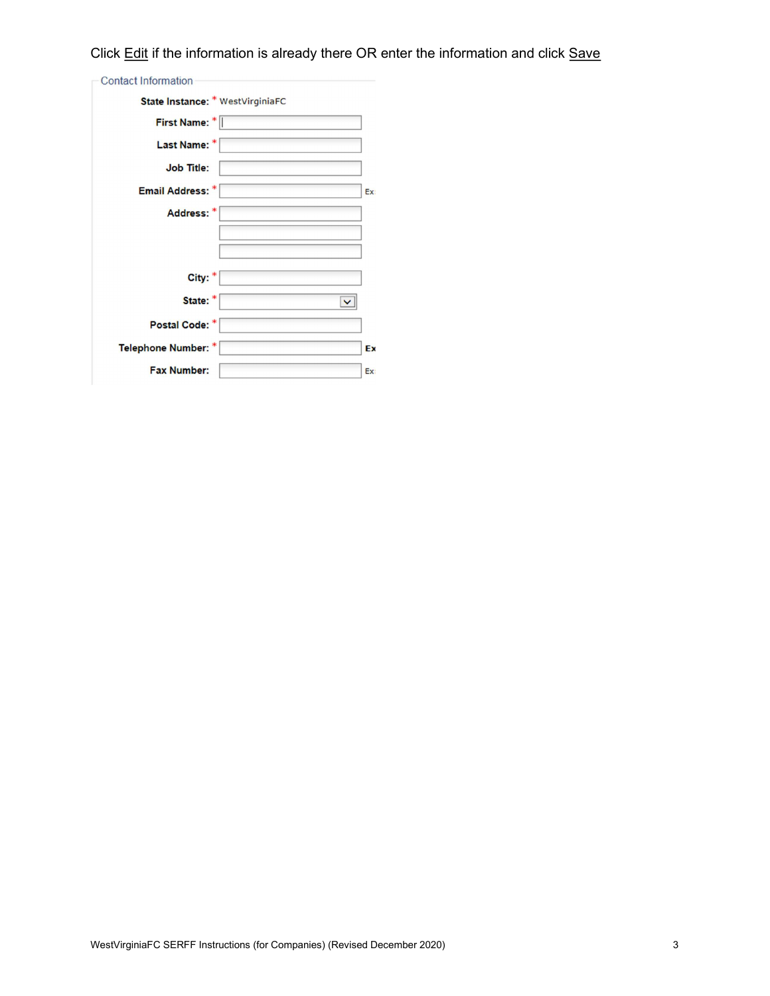# Click Edit if the information is already there OR enter the information and click Save

| <b>Contact Information</b>       |     |
|----------------------------------|-----|
| State Instance: * WestVirginiaFC |     |
| First Name: *                    |     |
| Last Name: *                     |     |
| <b>Job Title:</b>                |     |
| Email Address: *                 | Ex: |
| Address:                         |     |
|                                  |     |
|                                  |     |
| City:                            |     |
| State:                           |     |
| Postal Code: *                   |     |
| <b>Telephone Number: *</b>       | Ex  |
| <b>Fax Number:</b>               | Ex: |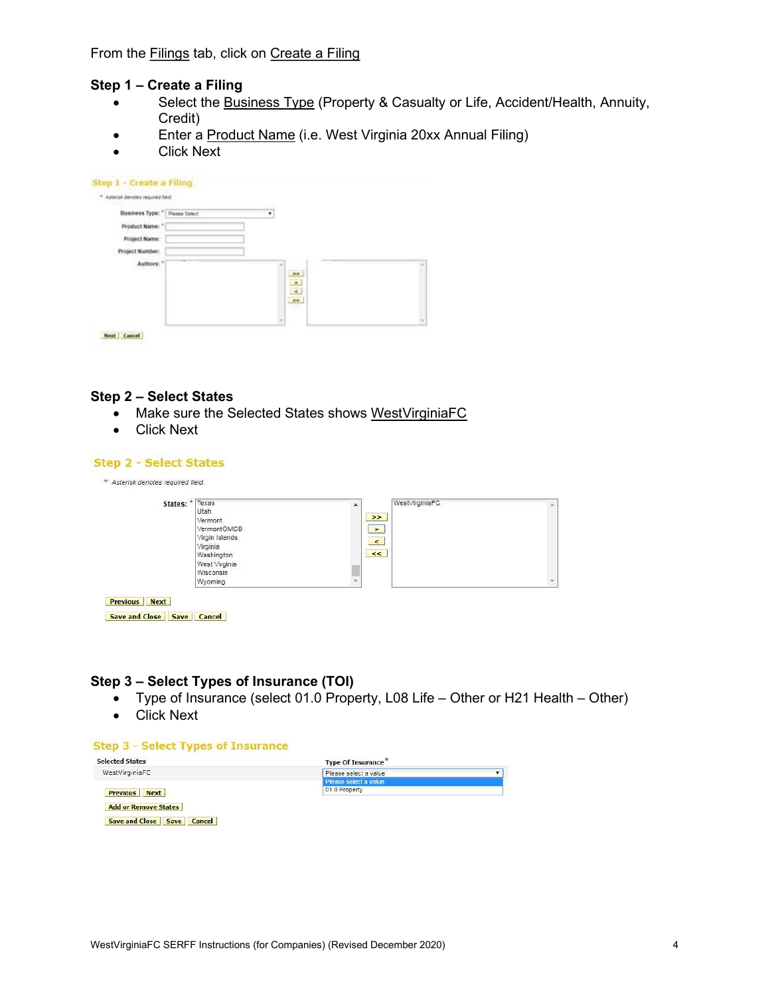#### Step 1 – Create a Filing

- Select the Business Type (Property & Casualty or Life, Accident/Health, Annuity, Credit)
- **Enter a Product Name (i.e. West Virginia 20xx Annual Filing)**
- Click Next

| Sieh Senzer sehned Hones **    |               |  |
|--------------------------------|---------------|--|
|                                |               |  |
| Business Type: " Please Select | ٠             |  |
| Product Name: *                |               |  |
| Project Name:                  |               |  |
| Project Number:                |               |  |
|                                |               |  |
| Authors:                       |               |  |
|                                | $\frac{1}{2}$ |  |
|                                |               |  |
|                                |               |  |
|                                |               |  |
|                                |               |  |

#### Step 2 – Select States

- Make sure the Selected States shows WestVirginiaFC
- Click Next

#### **Step 2 - Select States**

| States: * | Texas<br>Utah<br>Vermont<br>VermontGMCB<br>Virgin Islands<br>Virginia<br>Washington<br>West Virginia | ۸ | WestVirginiaFC<br>$\rightarrow$<br>$\geq$<br>$\prec$<br>$\prec\prec$ |               |
|-----------|------------------------------------------------------------------------------------------------------|---|----------------------------------------------------------------------|---------------|
|           | Wisconsin<br>Wyoming                                                                                 |   |                                                                      | $\mathcal{L}$ |

## Step 3 – Select Types of Insurance (TOI)

- Type of Insurance (select 01.0 Property, L08 Life Other or H21 Health Other)
- Click Next

#### **Step 3 - Select Types of Insurance**

| <b>Selected States</b>      | <b>Type Of Insurance*</b> |  |
|-----------------------------|---------------------------|--|
| WestVirginiaFC              | Please select a value     |  |
|                             | Please select a value     |  |
| <b>Previous</b> Next        | 01.0 Property             |  |
| <b>Add or Remove States</b> |                           |  |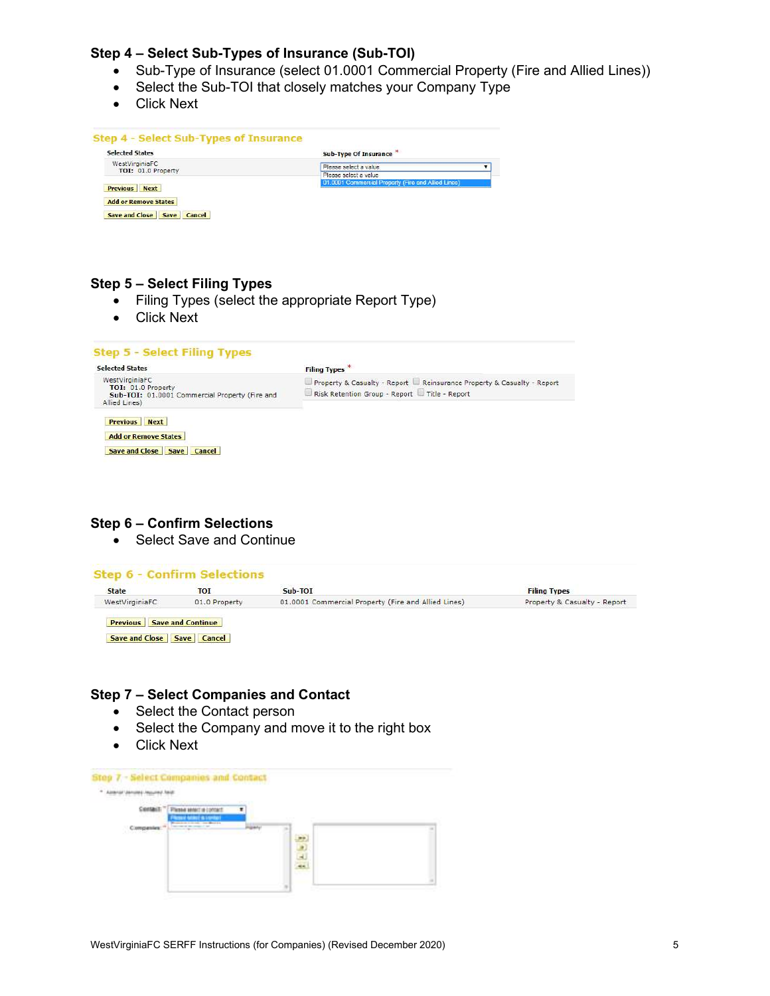# Step 4 – Select Sub-Types of Insurance (Sub-TOI)

- Sub-Type of Insurance (select 01.0001 Commercial Property (Fire and Allied Lines))
- Select the Sub-TOI that closely matches your Company Type
- Click Next

| <b>Selected States</b>      | <b>Sub-Type Of Insurance *</b>                      |
|-----------------------------|-----------------------------------------------------|
| WestVirginiaFC              | Please select a value                               |
| TOI: 01.0 Property          | Please select a value                               |
|                             | 01.0001 Commercial Property (Fire and Allied Lines) |
| <b>Previous</b> Next        |                                                     |
| <b>Add or Remove States</b> |                                                     |

# Step 5 – Select Filing Types

- Filing Types (select the appropriate Report Type)
- Click Next

| <b>Selected States</b>                                                                                  | <b>Filing Types</b> *                                                                                                   |
|---------------------------------------------------------------------------------------------------------|-------------------------------------------------------------------------------------------------------------------------|
| WestVirginiaFC<br>TOI: 01.0 Property<br>Sub-TOI: 01.0001 Commercial Property (Fire and<br>Allied Lines) | Property & Casualty - Report   Reinsurance Property & Casualty - Report<br>Risk Retention Group - Report Title - Report |
| <b>Previous</b> Next<br><b>Add or Remove States</b>                                                     |                                                                                                                         |
|                                                                                                         |                                                                                                                         |

#### Step 6 – Confirm Selections

• Select Save and Continue

| <b>State</b>   | тот           | Sub-TOI                                             | <b>Filing Types</b>          |
|----------------|---------------|-----------------------------------------------------|------------------------------|
| WestVirginiaFC | 01.0 Property | 01.0001 Commercial Property (Fire and Allied Lines) | Property & Casualty - Report |

### Step 7 – Select Companies and Contact

- Select the Contact person
- Select the Company and move it to the right box
- Click Next

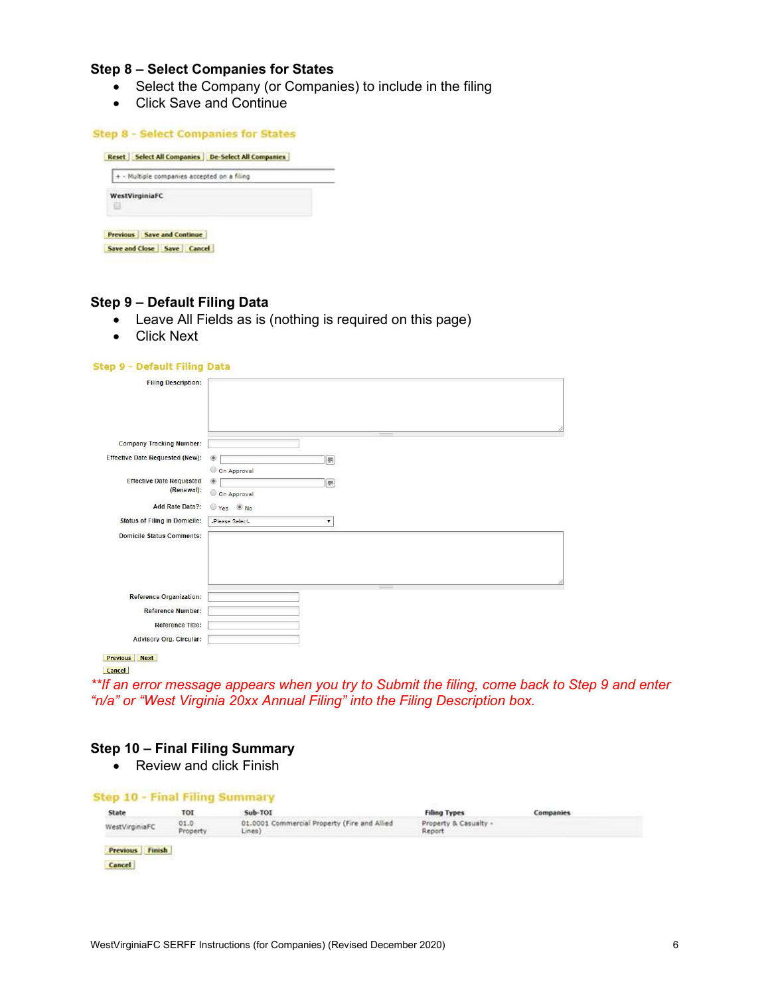## Step 8 – Select Companies for States

- Select the Company (or Companies) to include in the filing
- Click Save and Continue

|                     | + - Multiple companies accepted on a filing |
|---------------------|---------------------------------------------|
| WestVirginiaFC<br>田 |                                             |

#### Step 9 – Default Filing Data

- Leave All Fields as is (nothing is required on this page)
- Click Next

#### Step 9 - Default Filing Data

| <b>Filing Description:</b>                    |                                      |
|-----------------------------------------------|--------------------------------------|
|                                               |                                      |
| <b>Company Tracking Number:</b>               |                                      |
| <b>Effective Date Requested (New):</b>        | $^{\circ}$<br>圖<br>O On Approval     |
| <b>Effective Date Requested</b><br>(Renewal): | $\circledcirc$<br>圃<br>O On Approval |
| Add Rate Data?:                               | $O$ Yes $\odot$ No                   |
| <b>Status of Filing in Domicile:</b>          | -Please Select-<br>۰                 |
| <b>Domicile Status Comments:</b>              |                                      |
|                                               |                                      |
| <b>Reference Organization:</b>                |                                      |
| <b>Reference Number:</b>                      |                                      |
| <b>Reference Title:</b>                       |                                      |
| <b>Advisory Org. Circular:</b>                |                                      |
| <b>Next</b><br><b>Previous</b>                |                                      |

Cancel

\*\*If an error message appears when you try to Submit the filing, come back to Step 9 and enter "n/a" or "West Virginia 20xx Annual Filing" into the Filing Description box.

## Step 10 – Final Filing Summary

• Review and click Finish

| Sub-TOI<br>State<br>TOI                      | <b>Filing Types</b>                                                                                                                                                                               | <b>Companies</b> |
|----------------------------------------------|---------------------------------------------------------------------------------------------------------------------------------------------------------------------------------------------------|------------------|
| 01.0<br>WestVirginiaFC<br>Property<br>Lines) | 01.0001 Commercial Property (Fire and Allied<br>Property & Casualty -<br>Report<br>with the state of the state and the state of the state of the state of the state of the state of the<br>awan s |                  |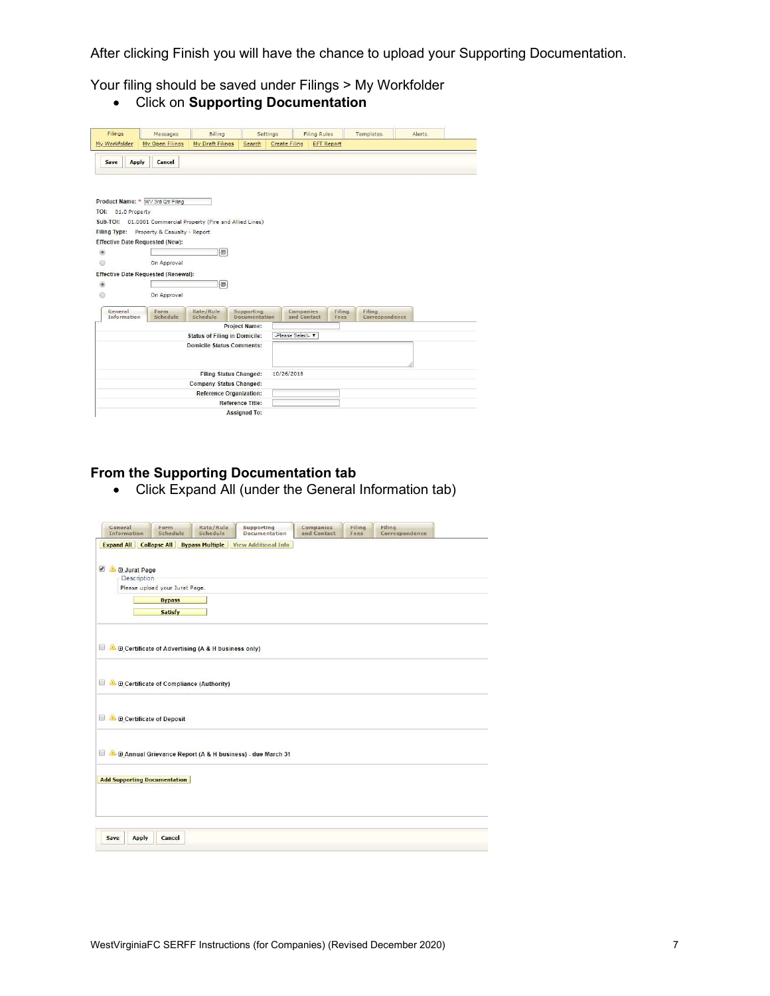After clicking Finish you will have the chance to upload your Supporting Documentation.

Your filing should be saved under Filings > My Workfolder

Click on Supporting Documentation

| Filings               | Messages                                            | Billing                              | Settings                    |                 | <b>Filing Rules</b> | Templates                | Alerts |
|-----------------------|-----------------------------------------------------|--------------------------------------|-----------------------------|-----------------|---------------------|--------------------------|--------|
| My Workfolder         | My Open Filings                                     | My Draft Filings                     | Search                      | Create Filing   | <b>EFT Report</b>   |                          |        |
|                       |                                                     |                                      |                             |                 |                     |                          |        |
| Apply<br>Save         | Cancel                                              |                                      |                             |                 |                     |                          |        |
|                       |                                                     |                                      |                             |                 |                     |                          |        |
|                       |                                                     |                                      |                             |                 |                     |                          |        |
|                       |                                                     |                                      |                             |                 |                     |                          |        |
|                       | Product Name: * WV 3rd Qtr Filing                   |                                      |                             |                 |                     |                          |        |
| TOI:<br>01.0 Property |                                                     |                                      |                             |                 |                     |                          |        |
| Sub-TOI:              | 01.0001 Commercial Property (Fire and Allied Lines) |                                      |                             |                 |                     |                          |        |
| <b>Filing Type:</b>   | Property & Casualty - Report                        |                                      |                             |                 |                     |                          |        |
|                       | <b>Effective Date Requested (New):</b>              |                                      |                             |                 |                     |                          |        |
| $\circledcirc$        |                                                     | 悪                                    |                             |                 |                     |                          |        |
| 6                     | On Approval                                         |                                      |                             |                 |                     |                          |        |
|                       | <b>Effective Date Requested (Renewal):</b>          |                                      |                             |                 |                     |                          |        |
| $\circledcirc$        |                                                     | 僵                                    |                             |                 |                     |                          |        |
| 0                     | On Approval                                         |                                      |                             |                 |                     |                          |        |
|                       |                                                     |                                      |                             |                 |                     |                          |        |
| General               | Form<br>Schedule                                    | Rate/Rule<br>Schedule                | Supporting<br>Documentation | Companies       | Filing              | Filing<br>Correspondence |        |
| Information           |                                                     |                                      | <b>Project Name:</b>        | and Contact     | Fees                |                          |        |
|                       |                                                     | <b>Status of Filing in Domicile:</b> |                             | -Please Select- |                     |                          |        |
|                       |                                                     | <b>Domicile Status Comments:</b>     |                             |                 |                     |                          |        |
|                       |                                                     |                                      |                             |                 |                     |                          |        |
|                       |                                                     |                                      |                             |                 |                     |                          |        |
|                       |                                                     | <b>Filing Status Changed:</b>        |                             | 10/26/2018      |                     |                          |        |
|                       |                                                     | Company Status Changed:              |                             |                 |                     |                          |        |
|                       |                                                     | <b>Reference Organization:</b>       |                             |                 |                     |                          |        |
|                       |                                                     |                                      |                             |                 |                     |                          |        |
|                       |                                                     |                                      | <b>Reference Title:</b>     |                 |                     |                          |        |

# From the Supporting Documentation tab

Click Expand All (under the General Information tab)

| General<br>Information                                    | Form<br>Schedule                      | Rate/Rule<br>Schedule                                     | Supporting<br>Documentation                                          | Companies<br>and Contact | Filing<br>Fees | Filing<br>Correspondence |  |
|-----------------------------------------------------------|---------------------------------------|-----------------------------------------------------------|----------------------------------------------------------------------|--------------------------|----------------|--------------------------|--|
|                                                           |                                       |                                                           | <b>Expand All Collapse All Bypass Multiple View Additional Info.</b> |                          |                |                          |  |
| $\mathcal{L}$<br><b>E</b> Jurat Page<br>a,<br>Description | Please upload your Jurat Page.        |                                                           |                                                                      |                          |                |                          |  |
|                                                           | <b>Bypass</b>                         |                                                           |                                                                      |                          |                |                          |  |
|                                                           | <b>Satisfy</b>                        |                                                           |                                                                      |                          |                |                          |  |
|                                                           |                                       |                                                           |                                                                      |                          |                |                          |  |
| 圖<br>圖                                                    | Certificate of Compliance (Authority) | <b>E</b> Certificate of Advertising (A & H business only) |                                                                      |                          |                |                          |  |
| L.<br>823                                                 | <b>E Certificate of Deposit</b>       |                                                           |                                                                      |                          |                |                          |  |
| L.                                                        |                                       |                                                           | Annual Grievance Report (A & H business) - due March 31              |                          |                |                          |  |
| <b>Add Supporting Documentation</b>                       |                                       |                                                           |                                                                      |                          |                |                          |  |
| <b>Apply</b><br>Save                                      | Cancel                                |                                                           |                                                                      |                          |                |                          |  |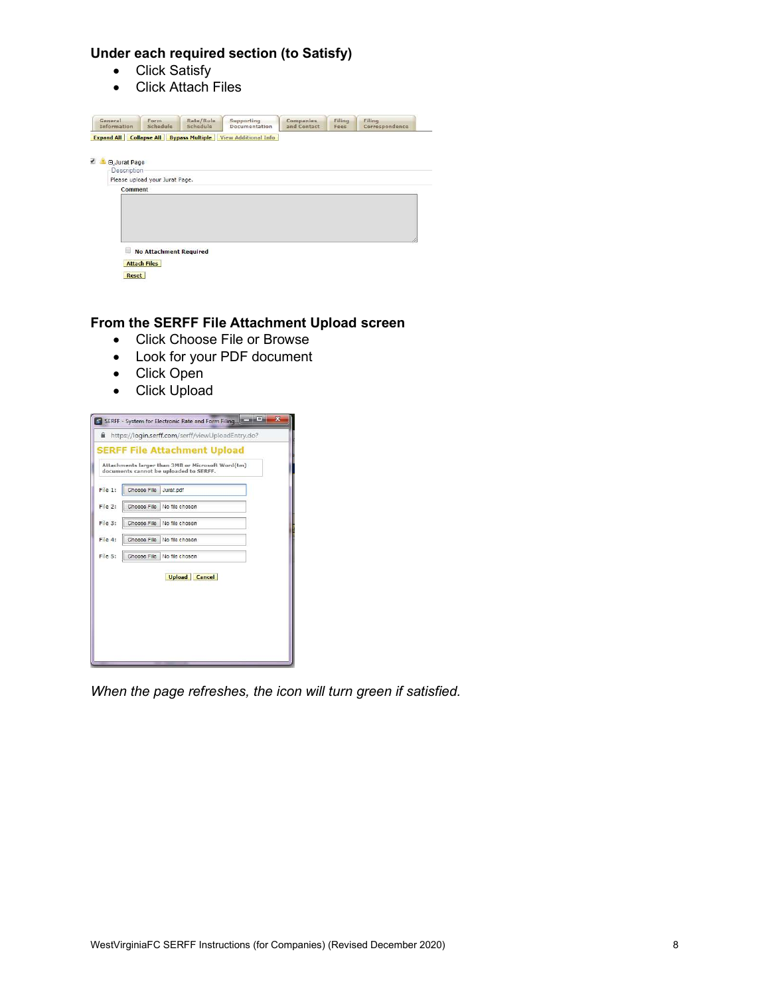# Under each required section (to Satisfy)

- Click Satisfy
- Click Attach Files

| General<br>Information             | Form<br>Schedule               | Rate/Rule<br>Schedule | Supporting<br>Documentation                                                 | <b>Companies</b><br>and Contact | Filing<br>Fees | Filing<br>Correspondence |
|------------------------------------|--------------------------------|-----------------------|-----------------------------------------------------------------------------|---------------------------------|----------------|--------------------------|
|                                    |                                |                       | <b>Expand All   Collapse All   Bypass Multiple   View Additional Info  </b> |                                 |                |                          |
| <b>E Jurat Page</b><br>Description | Please upload your Jurat Page. |                       |                                                                             |                                 |                |                          |
| Comment                            |                                |                       |                                                                             |                                 |                |                          |
|                                    |                                |                       |                                                                             |                                 |                |                          |
|                                    |                                |                       |                                                                             |                                 |                |                          |
|                                    | <b>No Attachment Required</b>  |                       |                                                                             |                                 |                |                          |
|                                    | <b>Attach Files</b>            |                       |                                                                             |                                 |                |                          |

# From the SERFF File Attachment Upload screen

- Click Choose File or Browse
- Look for your PDF document
- Click Open
- Click Upload

|         |             | Attachments larger than 3MB or Microsoft Word(tm)<br>documents cannot be uploaded to SERFF. |  |
|---------|-------------|---------------------------------------------------------------------------------------------|--|
| File 1: | Choose File | Jurat.pdf                                                                                   |  |
| File 2: | Choose File | No file chosen                                                                              |  |
| File 3: | Choose File | No file chosen                                                                              |  |
| File 4: | Choose File | No file chosen                                                                              |  |
| File 5: | Choose File | No file chosen                                                                              |  |
|         |             | <b>Upload Cancel</b>                                                                        |  |

When the page refreshes, the icon will turn green if satisfied.